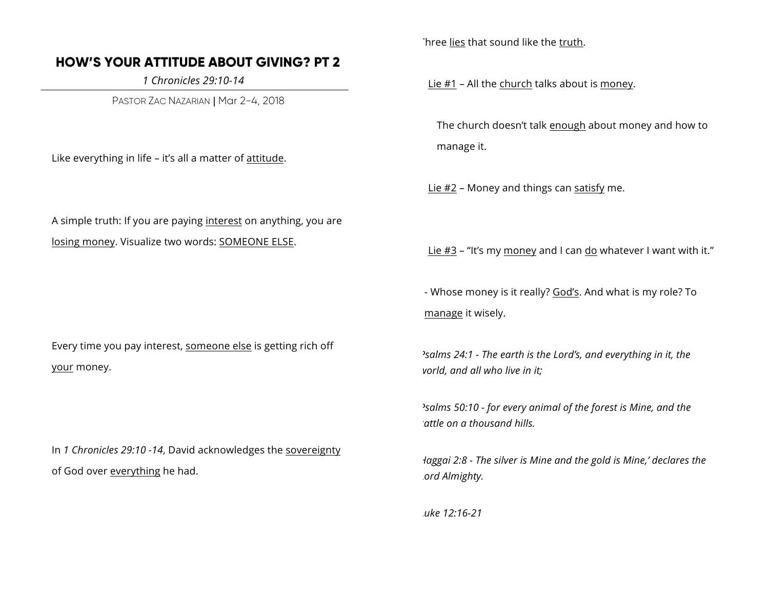## **HOW'S YOUR ATTITUDE ABOUT GIVING? PT 2**

 *1 Chronicles 29:10-14*

PASTOR ZAC NAZARIAN | Mar 2-4, 2018

Like everything in life – it's all a matter of attitude.

A simple truth: If you are paying interest on anything, you are losing money. Visualize two words: SOMEONE ELSE.

Every time you pay interest, someone else is getting rich off your money.

In *1 Chronicles 29:10 -14*, David acknowledges the sovereignty of God over everything he had.

Three lies that sound like the truth.

Lie #1 - All the church talks about is money.

The church doesn't talk enough about money and how to manage it.

Lie  $#2$  – Money and things can satisfy me.

Lie #3 – "It's my money and I can do whatever I want with it."

- Whose money is it really? God's. And what is my role? To manage it wisely.

*Psalms 24:1 - The earth is the Lord's, and everything in it, the world, and all who live in it;* 

*Psalms 50:10 - for every animal of the forest is Mine, and the cattle on a thousand hills.* 

*Haggai 2:8 - The silver is Mine and the gold is Mine,' declares the Lord Almighty.* 

*Luke 12:16-21*